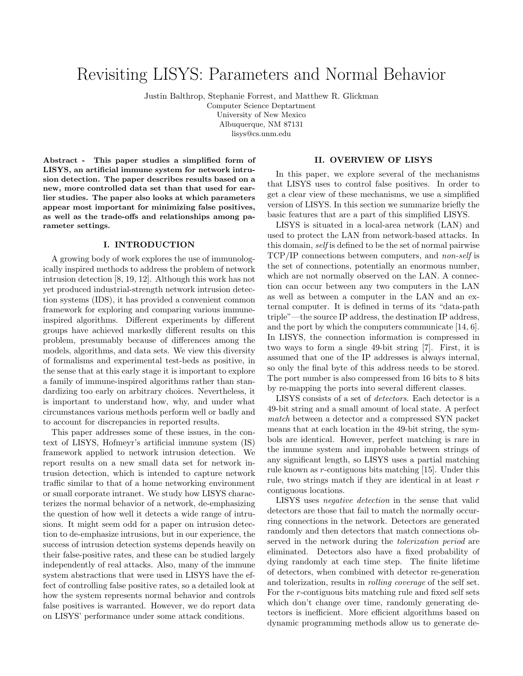# Revisiting LISYS: Parameters and Normal Behavior

Justin Balthrop, Stephanie Forrest, and Matthew R. Glickman Computer Science Deptartment University of New Mexico Albuquerque, NM 87131

lisys@cs.unm.edu

Abstract - This paper studies a simplified form of LISYS, an artificial immune system for network intrusion detection. The paper describes results based on a new, more controlled data set than that used for earlier studies. The paper also looks at which parameters appear most important for minimizing false positives, as well as the trade-offs and relationships among parameter settings.

#### I. INTRODUCTION

A growing body of work explores the use of immunologically inspired methods to address the problem of network intrusion detection [8, 19, 12]. Although this work has not yet produced industrial-strength network intrusion detection systems (IDS), it has provided a convenient common framework for exploring and comparing various immuneinspired algorithms. Different experiments by different groups have achieved markedly different results on this problem, presumably because of differences among the models, algorithms, and data sets. We view this diversity of formalisms and experimental test-beds as positive, in the sense that at this early stage it is important to explore a family of immune-inspired algorithms rather than standardizing too early on arbitrary choices. Nevertheless, it is important to understand how, why, and under what circumstances various methods perform well or badly and to account for discrepancies in reported results.

This paper addresses some of these issues, in the context of LISYS, Hofmeyr's artificial immune system (IS) framework applied to network intrusion detection. We report results on a new small data set for network intrusion detection, which is intended to capture network traffic similar to that of a home networking environment or small corporate intranet. We study how LISYS characterizes the normal behavior of a network, de-emphasizing the question of how well it detects a wide range of intrusions. It might seem odd for a paper on intrusion detection to de-emphasize intrusions, but in our experience, the success of intrusion detection systems depends heavily on their false-positive rates, and these can be studied largely independently of real attacks. Also, many of the immune system abstractions that were used in LISYS have the effect of controlling false positive rates, so a detailed look at how the system represents normal behavior and controls false positives is warranted. However, we do report data on LISYS' performance under some attack conditions.

## II. OVERVIEW OF LISYS

In this paper, we explore several of the mechanisms that LISYS uses to control false positives. In order to get a clear view of these mechanisms, we use a simplified version of LISYS. In this section we summarize briefly the basic features that are a part of this simplified LISYS.

LISYS is situated in a local-area network (LAN) and used to protect the LAN from network-based attacks. In this domain, self is defined to be the set of normal pairwise TCP/IP connections between computers, and non-self is the set of connections, potentially an enormous number, which are not normally observed on the LAN. A connection can occur between any two computers in the LAN as well as between a computer in the LAN and an external computer. It is defined in terms of its "data-path triple"—the source IP address, the destination IP address, and the port by which the computers communicate [14, 6]. In LISYS, the connection information is compressed in two ways to form a single 49-bit string [7]. First, it is assumed that one of the IP addresses is always internal, so only the final byte of this address needs to be stored. The port number is also compressed from 16 bits to 8 bits by re-mapping the ports into several different classes.

LISYS consists of a set of detectors. Each detector is a 49-bit string and a small amount of local state. A perfect match between a detector and a compressed SYN packet means that at each location in the 49-bit string, the symbols are identical. However, perfect matching is rare in the immune system and improbable between strings of any significant length, so LISYS uses a partial matching rule known as r-contiguous bits matching [15]. Under this rule, two strings match if they are identical in at least  $r$ contiguous locations.

LISYS uses negative detection in the sense that valid detectors are those that fail to match the normally occurring connections in the network. Detectors are generated randomly and then detectors that match connections observed in the network during the tolerization period are eliminated. Detectors also have a fixed probability of dying randomly at each time step. The finite lifetime of detectors, when combined with detector re-generation and tolerization, results in rolling coverage of the self set. For the r-contiguous bits matching rule and fixed self sets which don't change over time, randomly generating detectors is inefficient. More efficient algorithms based on dynamic programming methods allow us to generate de-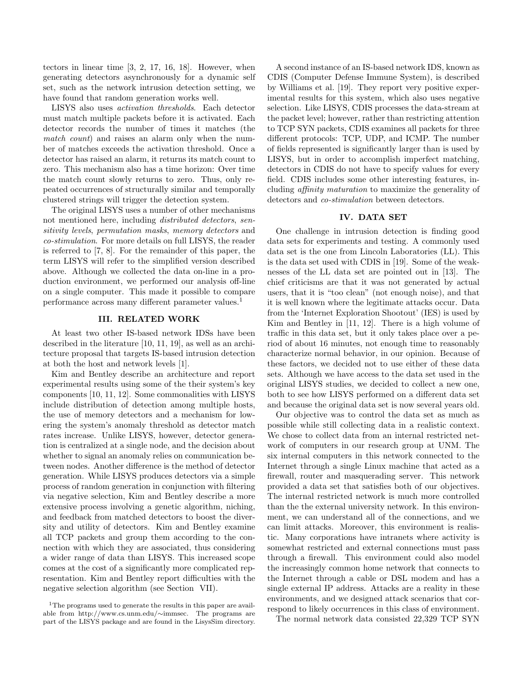tectors in linear time [3, 2, 17, 16, 18]. However, when generating detectors asynchronously for a dynamic self set, such as the network intrusion detection setting, we have found that random generation works well.

LISYS also uses activation thresholds. Each detector must match multiple packets before it is activated. Each detector records the number of times it matches (the match count) and raises an alarm only when the number of matches exceeds the activation threshold. Once a detector has raised an alarm, it returns its match count to zero. This mechanism also has a time horizon: Over time the match count slowly returns to zero. Thus, only repeated occurrences of structurally similar and temporally clustered strings will trigger the detection system.

The original LISYS uses a number of other mechanisms not mentioned here, including *distributed detectors*, sensitivity levels, permutation masks, memory detectors and co-stimulation. For more details on full LISYS, the reader is referred to [7, 8]. For the remainder of this paper, the term LISYS will refer to the simplified version described above. Although we collected the data on-line in a production environment, we performed our analysis off-line on a single computer. This made it possible to compare performance across many different parameter values.<sup>1</sup>

### III. RELATED WORK

At least two other IS-based network IDSs have been described in the literature [10, 11, 19], as well as an architecture proposal that targets IS-based intrusion detection at both the host and network levels [1].

Kim and Bentley describe an architecture and report experimental results using some of the their system's key components [10, 11, 12]. Some commonalities with LISYS include distribution of detection among multiple hosts, the use of memory detectors and a mechanism for lowering the system's anomaly threshold as detector match rates increase. Unlike LISYS, however, detector generation is centralized at a single node, and the decision about whether to signal an anomaly relies on communication between nodes. Another difference is the method of detector generation. While LISYS produces detectors via a simple process of random generation in conjunction with filtering via negative selection, Kim and Bentley describe a more extensive process involving a genetic algorithm, niching, and feedback from matched detectors to boost the diversity and utility of detectors. Kim and Bentley examine all TCP packets and group them according to the connection with which they are associated, thus considering a wider range of data than LISYS. This increased scope comes at the cost of a significantly more complicated representation. Kim and Bentley report difficulties with the negative selection algorithm (see Section VII).

A second instance of an IS-based network IDS, known as CDIS (Computer Defense Immune System), is described by Williams et al. [19]. They report very positive experimental results for this system, which also uses negative selection. Like LISYS, CDIS processes the data-stream at the packet level; however, rather than restricting attention to TCP SYN packets, CDIS examines all packets for three different protocols: TCP, UDP, and ICMP. The number of fields represented is significantly larger than is used by LISYS, but in order to accomplish imperfect matching, detectors in CDIS do not have to specify values for every field. CDIS includes some other interesting features, including affinity maturation to maximize the generality of detectors and co-stimulation between detectors.

## IV. DATA SET

One challenge in intrusion detection is finding good data sets for experiments and testing. A commonly used data set is the one from Lincoln Laboratories (LL). This is the data set used with CDIS in [19]. Some of the weaknesses of the LL data set are pointed out in [13]. The chief criticisms are that it was not generated by actual users, that it is "too clean" (not enough noise), and that it is well known where the legitimate attacks occur. Data from the 'Internet Exploration Shootout' (IES) is used by Kim and Bentley in [11, 12]. There is a high volume of traffic in this data set, but it only takes place over a period of about 16 minutes, not enough time to reasonably characterize normal behavior, in our opinion. Because of these factors, we decided not to use either of these data sets. Although we have access to the data set used in the original LISYS studies, we decided to collect a new one, both to see how LISYS performed on a different data set and because the original data set is now several years old.

Our objective was to control the data set as much as possible while still collecting data in a realistic context. We chose to collect data from an internal restricted network of computers in our research group at UNM. The six internal computers in this network connected to the Internet through a single Linux machine that acted as a firewall, router and masquerading server. This network provided a data set that satisfies both of our objectives. The internal restricted network is much more controlled than the the external university network. In this environment, we can understand all of the connections, and we can limit attacks. Moreover, this environment is realistic. Many corporations have intranets where activity is somewhat restricted and external connections must pass through a firewall. This environment could also model the increasingly common home network that connects to the Internet through a cable or DSL modem and has a single external IP address. Attacks are a reality in these environments, and we designed attack scenarios that correspond to likely occurrences in this class of environment.

The normal network data consisted 22,329 TCP SYN

<sup>&</sup>lt;sup>1</sup>The programs used to generate the results in this paper are available from http://www.cs.unm.edu/∼immsec. The programs are part of the LISYS package and are found in the LisysSim directory.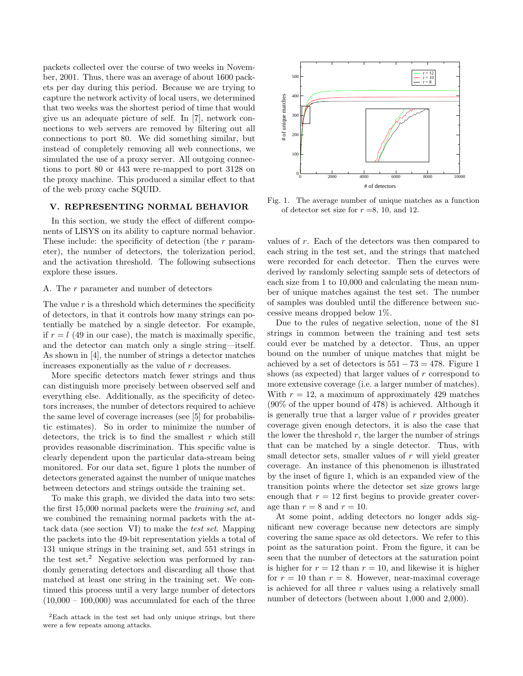packets collected over the course of two weeks in November, 2001. Thus, there was an average of about 1600 packets per day during this period. Because we are trying to capture the network activity of local users, we determined that two weeks was the shortest period of time that would give us an adequate picture of self. In [7], network connections to web servers are removed by filtering out all connections to port 80. We did something similar, but instead of completely removing all web connections, we simulated the use of a proxy server. All outgoing connections to port 80 or 443 were re-mapped to port 3128 on the proxy machine. This produced a similar effect to that of the web proxy cache SQUID.

### V. REPRESENTING NORMAL BEHAVIOR

In this section, we study the effect of different components of LISYS on its ability to capture normal behavior. These include: the specificity of detection (the r parameter), the number of detectors, the tolerization period, and the activation threshold. The following subsections explore these issues.

### A. The r parameter and number of detectors

The value  $r$  is a threshold which determines the specificity of detectors, in that it controls how many strings can potentially be matched by a single detector. For example, if  $r = l$  (49 in our case), the match is maximally specific. and the detector can match only a single string—itself. As shown in [4], the number of strings a detector matches increases exponentially as the value of r decreases.

More specific detectors match fewer strings and thus can distinguish more precisely between observed self and everything else. Additionally, as the specificity of detectors increases, the number of detectors required to achieve the same level of coverage increases (see [5] for probabilistic estimates). So in order to minimize the number of detectors, the trick is to find the smallest  $r$  which still provides reasonable discrimination. This specific value is clearly dependent upon the particular data-stream being monitored. For our data set, figure 1 plots the number of detectors generated against the number of unique matches between detectors and strings outside the training set.

To make this graph, we divided the data into two sets: the first 15,000 normal packets were the training set, and we combined the remaining normal packets with the attack data (see section VI) to make the test set. Mapping the packets into the 49-bit representation yields a total of 131 unique strings in the training set, and 551 strings in the test set.<sup>2</sup> Negative selection was performed by randomly generating detectors and discarding all those that matched at least one string in the training set. We continued this process until a very large number of detectors  $(10,000 - 100,000)$  was accumulated for each of the three





Fig. 1. The average number of unique matches as a function of detector set size for  $r = 8$ , 10, and 12.

values of r. Each of the detectors was then compared to each string in the test set, and the strings that matched were recorded for each detector. Then the curves were derived by randomly selecting sample sets of detectors of each size from 1 to 10,000 and calculating the mean number of unique matches against the test set. The number of samples was doubled until the difference between successive means dropped below 1%.

Due to the rules of negative selection, none of the 81 strings in common between the training and test sets could ever be matched by a detector. Thus, an upper bound on the number of unique matches that might be achieved by a set of detectors is  $551 - 73 = 478$ . Figure 1 shows (as expected) that larger values of r correspond to more extensive coverage (i.e. a larger number of matches). With  $r = 12$ , a maximum of approximately 429 matches (90% of the upper bound of 478) is achieved. Although it is generally true that a larger value of r provides greater coverage given enough detectors, it is also the case that the lower the threshold  $r$ , the larger the number of strings that can be matched by a single detector. Thus, with small detector sets, smaller values of  $r$  will yield greater coverage. An instance of this phenomenon is illustrated by the inset of figure 1, which is an expanded view of the transition points where the detector set size grows large enough that  $r = 12$  first begins to provide greater coverage than  $r = 8$  and  $r = 10$ .

At some point, adding detectors no longer adds significant new coverage because new detectors are simply covering the same space as old detectors. We refer to this point as the saturation point. From the figure, it can be seen that the number of detectors at the saturation point is higher for  $r = 12$  than  $r = 10$ , and likewise it is higher for  $r = 10$  than  $r = 8$ . However, near-maximal coverage is achieved for all three  $r$  values using a relatively small number of detectors (between about 1,000 and 2,000).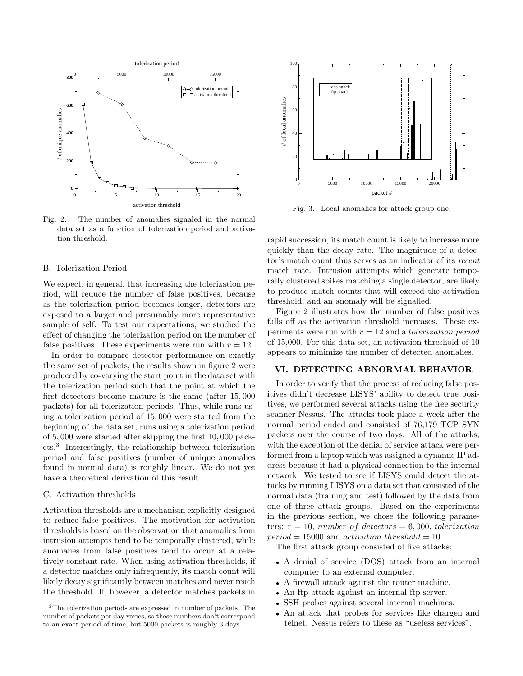

Fig. 2. The number of anomalies signaled in the normal data set as a function of tolerization period and activation threshold.

### B. Tolerization Period

We expect, in general, that increasing the tolerization period, will reduce the number of false positives, because as the tolerization period becomes longer, detectors are exposed to a larger and presumably more representative sample of self. To test our expectations, we studied the effect of changing the tolerization period on the number of false positives. These experiments were run with  $r = 12$ .

In order to compare detector performance on exactly the same set of packets, the results shown in figure 2 were produced by co-varying the start point in the data set with the tolerization period such that the point at which the first detectors become mature is the same (after 15, 000 packets) for all tolerization periods. Thus, while runs using a tolerization period of 15, 000 were started from the beginning of the data set, runs using a tolerization period of 5, 000 were started after skipping the first 10, 000 packets.<sup>3</sup> Interestingly, the relationship between tolerization period and false positives (number of unique anomalies found in normal data) is roughly linear. We do not yet have a theoretical derivation of this result.

### C. Activation thresholds

Activation thresholds are a mechanism explicitly designed to reduce false positives. The motivation for activation thresholds is based on the observation that anomalies from intrusion attempts tend to be temporally clustered, while anomalies from false positives tend to occur at a relatively constant rate. When using activation thresholds, if a detector matches only infrequently, its match count will likely decay significantly between matches and never reach the threshold. If, however, a detector matches packets in



Fig. 3. Local anomalies for attack group one.

rapid succession, its match count is likely to increase more quickly than the decay rate. The magnitude of a detector's match count thus serves as an indicator of its recent match rate. Intrusion attempts which generate temporally clustered spikes matching a single detector, are likely to produce match counts that will exceed the activation threshold, and an anomaly will be signalled.

Figure 2 illustrates how the number of false positives falls off as the activation threshold increases. These experiments were run with  $r = 12$  and a tolerization period of 15,000. For this data set, an activation threshold of 10 appears to minimize the number of detected anomalies.

#### VI. DETECTING ABNORMAL BEHAVIOR

In order to verify that the process of reducing false positives didn't decrease LISYS' ability to detect true positives, we performed several attacks using the free security scanner Nessus. The attacks took place a week after the normal period ended and consisted of 76,179 TCP SYN packets over the course of two days. All of the attacks, with the exception of the denial of service attack were performed from a laptop which was assigned a dynamic IP address because it had a physical connection to the internal network. We tested to see if LISYS could detect the attacks by running LISYS on a data set that consisted of the normal data (training and test) followed by the data from one of three attack groups. Based on the experiments in the previous section, we chose the following parameters:  $r = 10$ , number of detectors = 6,000, tolerization  $period = 15000$  and *activation threshold* = 10.

The first attack group consisted of five attacks:

- A denial of service (DOS) attack from an internal computer to an external computer.
- A firewall attack against the router machine.
- An ftp attack against an internal ftp server.
- SSH probes against several internal machines.
- An attack that probes for services like chargen and telnet. Nessus refers to these as "useless services".

<sup>3</sup>The tolerization periods are expressed in number of packets. The number of packets per day varies, so these numbers don't correspond to an exact period of time, but 5000 packets is roughly 3 days.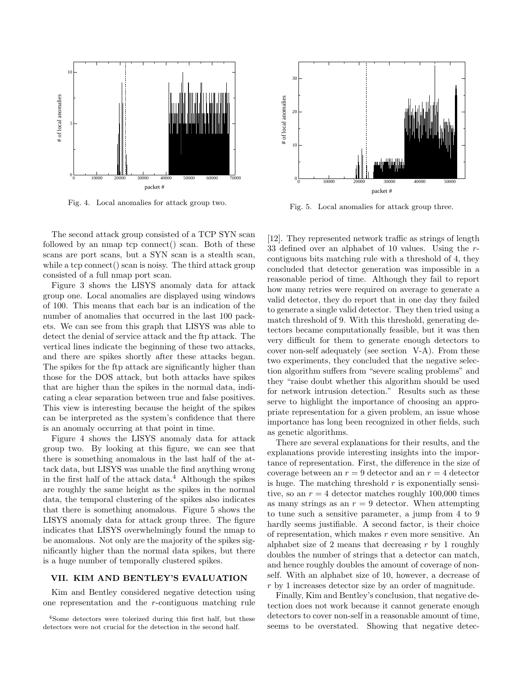

Fig. 4. Local anomalies for attack group two.

The second attack group consisted of a TCP SYN scan followed by an nmap tcp connect() scan. Both of these scans are port scans, but a SYN scan is a stealth scan, while a tcp connect() scan is noisy. The third attack group consisted of a full nmap port scan.

Figure 3 shows the LISYS anomaly data for attack group one. Local anomalies are displayed using windows of 100. This means that each bar is an indication of the number of anomalies that occurred in the last 100 packets. We can see from this graph that LISYS was able to detect the denial of service attack and the ftp attack. The vertical lines indicate the beginning of these two attacks, and there are spikes shortly after these attacks began. The spikes for the ftp attack are significantly higher than those for the DOS attack, but both attacks have spikes that are higher than the spikes in the normal data, indicating a clear separation between true and false positives. This view is interesting because the height of the spikes can be interpreted as the system's confidence that there is an anomaly occurring at that point in time.

Figure 4 shows the LISYS anomaly data for attack group two. By looking at this figure, we can see that there is something anomalous in the last half of the attack data, but LISYS was unable the find anything wrong in the first half of the attack data. $4$  Although the spikes are roughly the same height as the spikes in the normal data, the temporal clustering of the spikes also indicates that there is something anomalous. Figure 5 shows the LISYS anomaly data for attack group three. The figure indicates that LISYS overwhelmingly found the nmap to be anomalous. Not only are the majority of the spikes significantly higher than the normal data spikes, but there is a huge number of temporally clustered spikes.

### VII. KIM AND BENTLEY'S EVALUATION

Kim and Bentley considered negative detection using one representation and the r-contiguous matching rule



Fig. 5. Local anomalies for attack group three.

Fig. 1. Local somewheat of the second in the second half of the second half of the second half of the second half of the second half of the second half of the second half of the second half of the second half. Since the s [12]. They represented network traffic as strings of length 33 defined over an alphabet of 10 values. Using the rcontiguous bits matching rule with a threshold of 4, they concluded that detector generation was impossible in a reasonable period of time. Although they fail to report how many retries were required on average to generate a valid detector, they do report that in one day they failed to generate a single valid detector. They then tried using a match threshold of 9. With this threshold, generating detectors became computationally feasible, but it was then very difficult for them to generate enough detectors to cover non-self adequately (see section V-A). From these two experiments, they concluded that the negative selection algorithm suffers from "severe scaling problems" and they "raise doubt whether this algorithm should be used for network intrusion detection." Results such as these serve to highlight the importance of choosing an appropriate representation for a given problem, an issue whose importance has long been recognized in other fields, such as genetic algorithms.

There are several explanations for their results, and the explanations provide interesting insights into the importance of representation. First, the difference in the size of coverage between an  $r = 9$  detector and an  $r = 4$  detector is huge. The matching threshold  $r$  is exponentially sensitive, so an  $r = 4$  detector matches roughly 100,000 times as many strings as an  $r = 9$  detector. When attempting to tune such a sensitive parameter, a jump from 4 to 9 hardly seems justifiable. A second factor, is their choice of representation, which makes  $r$  even more sensitive. An alphabet size of 2 means that decreasing  $r$  by 1 roughly doubles the number of strings that a detector can match, and hence roughly doubles the amount of coverage of nonself. With an alphabet size of 10, however, a decrease of r by 1 increases detector size by an order of magnitude.

Finally, Kim and Bentley's conclusion, that negative detection does not work because it cannot generate enough detectors to cover non-self in a reasonable amount of time, seems to be overstated. Showing that negative detec-

<sup>&</sup>lt;sup>4</sup>Some detectors were tolerized during this first half, but these detectors were not crucial for the detection in the second half.